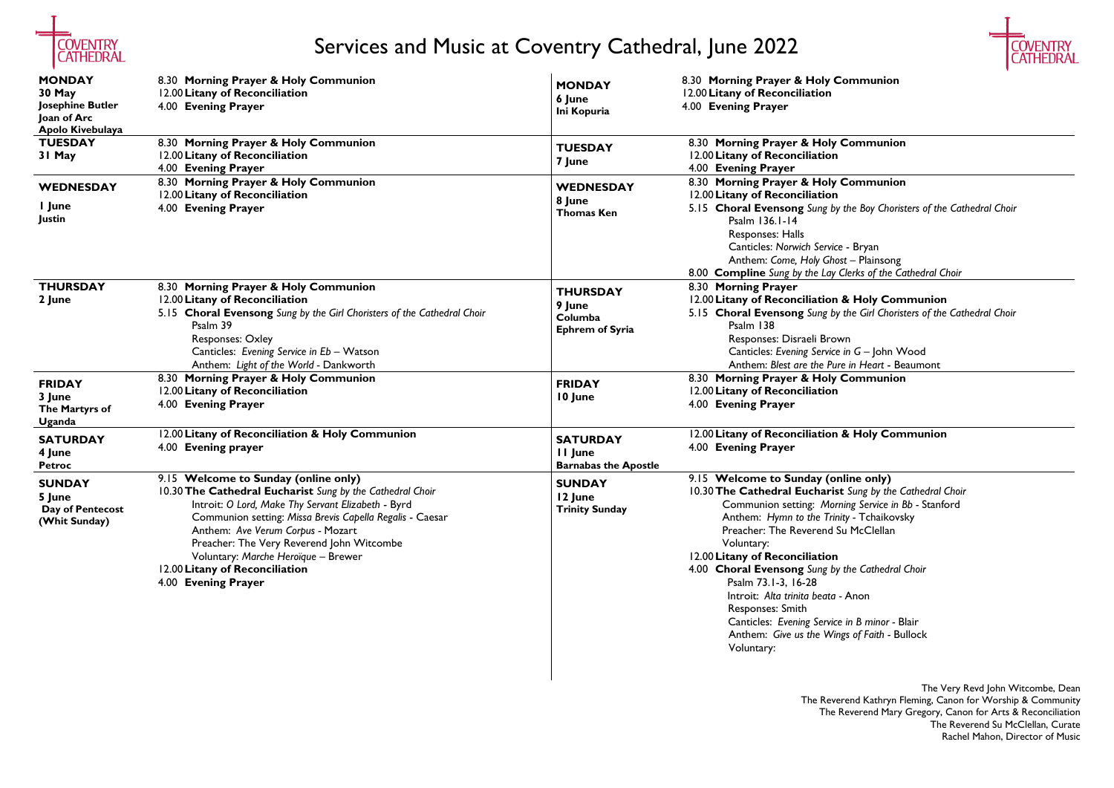

# Services and Music at Coventry Cathedral, June 2022

The Very Revd John Witcombe, Dean The Reverend Kathryn Fleming, Canon for Worship & Community The Reverend Mary Gregory, Canon for Arts & Reconciliation The Reverend Su McClellan, Curate Rachel Mahon, Director of Music

#### 8.30 **Morning Prayer & Holy Communion**

#### **Communion**

### $\overline{\mathsf{Communion}}$

5.15 **Choral Evensong** *Sung by the Boy Choristers of the Cathedral Choir*

Canticles: *Norwich Service* - Bryan Anthem: *Come, Holy Ghost* – Plainsong 8.00 **Compline** *Sung by the Lay Clerks of the Cathedral Choir*

10.30**The Cathedral Eucharist** *Sung by the Cathedral Choir* ming Service in Bb - Stanford Anthem: *Hymn to the Trinity -* Tchaikovsky Su McClellan

12.00**Litany of Reconciliation & Holy Communion** 5.15 **Choral Evensong** *Sung by the Girl Choristers of the Cathedral Choir*

wn Canticles: *Evening Service in G* – John Wood Anthem: *Blest are the Pure in Heart* - Beaumont **Communion** 

| <b>MONDAY</b><br><b>30 May</b><br>Josephine Butler<br>Joan of Arc | 8.30 Morning Prayer & Holy Communion<br>12.00 Litany of Reconciliation<br>4.00 Evening Prayer                                                                                                                                                                                                                                                                                                         | <b>MONDAY</b><br>6 June<br>Ini Kopuria                         | 8.30 Morning Prayer & Holy C<br>12.00 Litany of Reconciliation<br>4.00 Evening Prayer                                                                                                                                                                                                                                                                                                 |
|-------------------------------------------------------------------|-------------------------------------------------------------------------------------------------------------------------------------------------------------------------------------------------------------------------------------------------------------------------------------------------------------------------------------------------------------------------------------------------------|----------------------------------------------------------------|---------------------------------------------------------------------------------------------------------------------------------------------------------------------------------------------------------------------------------------------------------------------------------------------------------------------------------------------------------------------------------------|
| Apolo Kivebulaya<br><b>TUESDAY</b><br>31 May                      | 8.30 Morning Prayer & Holy Communion<br>12.00 Litany of Reconciliation<br>4.00 Evening Prayer                                                                                                                                                                                                                                                                                                         | <b>TUESDAY</b><br>7 June                                       | 8.30 Morning Prayer & Holy<br>12.00 Litany of Reconciliation<br>4.00 Evening Prayer                                                                                                                                                                                                                                                                                                   |
| <b>WEDNESDAY</b><br>I June<br>Justin                              | 8.30 Morning Prayer & Holy Communion<br>12.00 Litany of Reconciliation<br>4.00 Evening Prayer                                                                                                                                                                                                                                                                                                         | <b>WEDNESDAY</b><br>8 June<br><b>Thomas Ken</b>                | 8.30 Morning Prayer & Holy<br>12.00 Litany of Reconciliation<br>5.15 Choral Evensong Sung by<br>Psalm 136.1-14<br><b>Responses: Halls</b><br>Canticles: Norwich Service<br>Anthem: Come, Holy Gho<br>8.00 <b>Compline</b> Sung by the Lay                                                                                                                                             |
| <b>THURSDAY</b><br>2 June                                         | 8.30 Morning Prayer & Holy Communion<br>12.00 Litany of Reconciliation<br>5.15 Choral Evensong Sung by the Girl Choristers of the Cathedral Choir<br>Psalm 39<br><b>Responses: Oxley</b><br>Canticles: Evening Service in Eb - Watson<br>Anthem: Light of the World - Dankworth                                                                                                                       | <b>THURSDAY</b><br>9 June<br>Columba<br><b>Ephrem of Syria</b> | 8.30 Morning Prayer<br>12.00 Litany of Reconciliation<br>5.15 Choral Evensong Sung by<br>Psalm 138<br>Responses: Disraeli Brov<br><b>Canticles: Evening Service</b><br>Anthem: Blest are the Pur                                                                                                                                                                                      |
| <b>FRIDAY</b><br>3 June<br>The Martyrs of<br>Uganda               | 8.30 Morning Prayer & Holy Communion<br>12.00 Litany of Reconciliation<br>4.00 Evening Prayer                                                                                                                                                                                                                                                                                                         | <b>FRIDAY</b><br>10 June                                       | 8.30 Morning Prayer & Holy<br>12.00 Litany of Reconciliation<br>4.00 Evening Prayer                                                                                                                                                                                                                                                                                                   |
| <b>SATURDAY</b><br>4 June<br><b>Petroc</b>                        | 12.00 Litany of Reconciliation & Holy Communion<br>4.00 Evening prayer                                                                                                                                                                                                                                                                                                                                | <b>SATURDAY</b><br>II June<br><b>Barnabas the Apostle</b>      | 12.00 Litany of Reconciliation<br>4.00 Evening Prayer                                                                                                                                                                                                                                                                                                                                 |
| <b>SUNDAY</b><br>5 June<br>Day of Pentecost<br>(Whit Sunday)      | 9.15 Welcome to Sunday (online only)<br>10.30 The Cathedral Eucharist Sung by the Cathedral Choir<br>Introit: O Lord, Make Thy Servant Elizabeth - Byrd<br>Communion setting: Missa Brevis Capella Regalis - Caesar<br>Anthem: Ave Verum Corpus - Mozart<br>Preacher: The Very Reverend John Witcombe<br>Voluntary: Marche Heroïque - Brewer<br>12.00 Litany of Reconciliation<br>4.00 Evening Prayer | <b>SUNDAY</b><br>12 June<br><b>Trinity Sunday</b>              | 9.15 Welcome to Sunday (or<br>10.30 The Cathedral Eucharis<br>Communion setting: Mori<br>Anthem: Hymn to the Trin<br>Preacher: The Reverend S<br>Voluntary:<br>12.00 Litany of Reconciliation<br>4.00 Choral Evensong Sung by<br>Psalm 73.1-3, 16-28<br>Introit: Alta trinita beata<br><b>Responses: Smith</b><br>Canticles: Evening Service<br>Anthem: Give us the Win<br>Voluntary: |



12.00**Litany of Reconciliation & Holy Communion**

## mline only)

4.00 **Choral Evensong** *Sung by the Cathedral Choir*

Introit: *Alta trinita beata -* Anon

Canticles: *Evening Service in B minor -* Blair Anthem: *Give us the Wings of Faith -* Bullock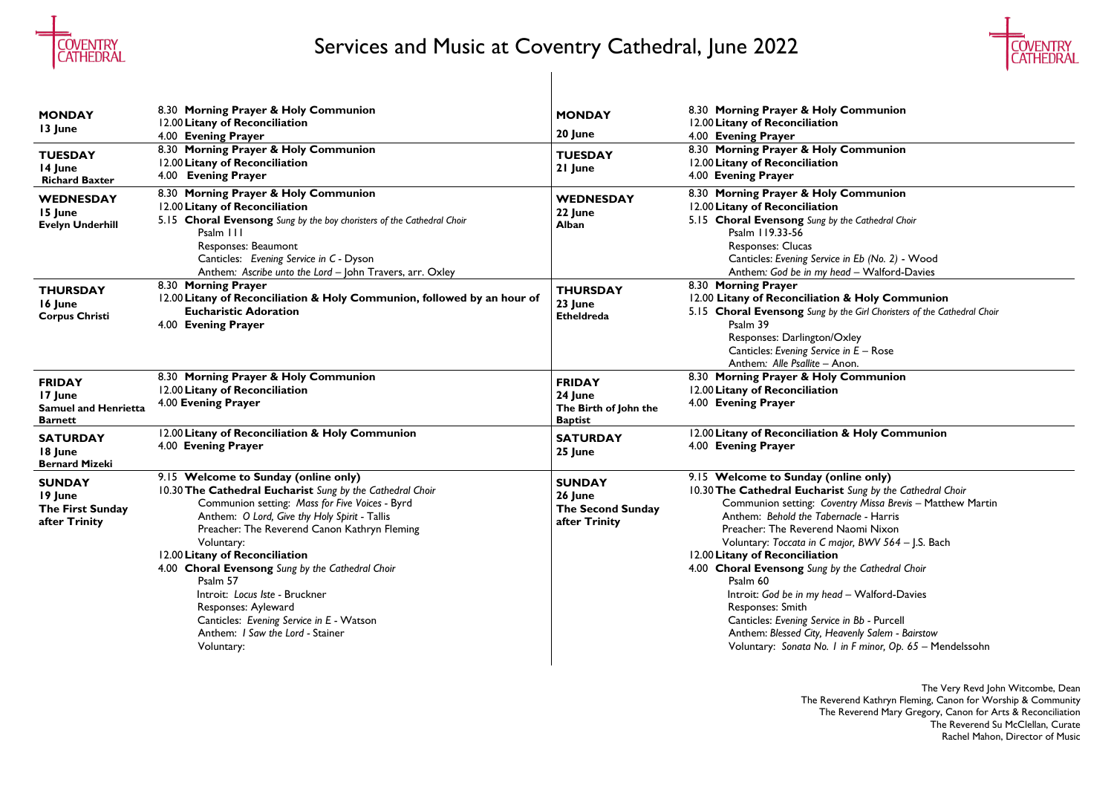

# Services and Music at Coventry Cathedral, June 2022

The Very Revd John Witcombe, Dean The Reverend Kathryn Fleming, Canon for Worship & Community The Reverend Mary Gregory, Canon for Arts & Reconciliation The Reverend Su McClellan, Curate Rachel Mahon, Director of Music

*in Eb (No. 2)* - Wood Anthem*: God be in my head –* Walford-Davies

5.15 **Choral Evensong** *Sung by the Cathedral Choir*

| <b>MONDAY</b><br>13 June<br><b>TUESDAY</b><br>14 June<br><b>Richard Baxter</b> | 8.30 Morning Prayer & Holy Communion<br>12.00 Litany of Reconciliation<br>4.00 Evening Prayer<br>8.30 Morning Prayer & Holy Communion<br>12.00 Litany of Reconciliation<br>4.00 Evening Prayer                                                                                                                                                                                                                                                                                                                              | <b>MONDAY</b><br>20 June<br><b>TUESDAY</b><br>21 June               | 8.30 Morning Prayer & Holy<br>12.00 Litany of Reconciliation<br>4.00 Evening Prayer<br>8.30 Morning Prayer & Holy<br>12.00 Litany of Reconciliation<br>4.00 Evening Prayer                                                                                                                                                                                                                                       |
|--------------------------------------------------------------------------------|-----------------------------------------------------------------------------------------------------------------------------------------------------------------------------------------------------------------------------------------------------------------------------------------------------------------------------------------------------------------------------------------------------------------------------------------------------------------------------------------------------------------------------|---------------------------------------------------------------------|------------------------------------------------------------------------------------------------------------------------------------------------------------------------------------------------------------------------------------------------------------------------------------------------------------------------------------------------------------------------------------------------------------------|
| <b>WEDNESDAY</b><br>15 June<br><b>Evelyn Underhill</b>                         | 8.30 Morning Prayer & Holy Communion<br>12.00 Litany of Reconciliation<br>5.15 Choral Evensong Sung by the boy choristers of the Cathedral Choir<br>Psalm 111<br>Responses: Beaumont<br>Canticles: Evening Service in C - Dyson<br>Anthem: Ascribe unto the Lord - John Travers, arr. Oxley                                                                                                                                                                                                                                 | <b>WEDNESDAY</b><br>22 June<br>Alban                                | 8.30 Morning Prayer & Holy<br>12.00 Litany of Reconciliation<br>5.15 Choral Evensong Sung by<br>Psalm 119.33-56<br><b>Responses: Clucas</b><br><b>Canticles: Evening Service</b><br>Anthem: God be in my he                                                                                                                                                                                                      |
| <b>THURSDAY</b><br>16 June<br><b>Corpus Christi</b>                            | 8.30 Morning Prayer<br>12.00 Litany of Reconciliation & Holy Communion, followed by an hour of<br><b>Eucharistic Adoration</b><br>4.00 Evening Prayer                                                                                                                                                                                                                                                                                                                                                                       | <b>THURSDAY</b><br>23 June<br><b>Etheldreda</b>                     | 8.30 Morning Prayer<br>12.00 Litany of Reconciliation<br>5.15 Choral Evensong Sung by<br>Psalm 39<br>Responses: Darlington/C<br><b>Canticles: Evening Service</b><br>Anthem: Alle Psallite - Ar                                                                                                                                                                                                                  |
| <b>FRIDAY</b><br>17 June<br><b>Samuel and Henrietta</b><br><b>Barnett</b>      | 8.30 Morning Prayer & Holy Communion<br>12.00 Litany of Reconciliation<br>4.00 Evening Prayer                                                                                                                                                                                                                                                                                                                                                                                                                               | <b>FRIDAY</b><br>24 June<br>The Birth of John the<br><b>Baptist</b> | 8.30 Morning Prayer & Holy<br>12.00 Litany of Reconciliation<br>4.00 Evening Prayer                                                                                                                                                                                                                                                                                                                              |
| <b>SATURDAY</b><br>18 June<br><b>Bernard Mizeki</b>                            | 12.00 Litany of Reconciliation & Holy Communion<br>4.00 Evening Prayer                                                                                                                                                                                                                                                                                                                                                                                                                                                      | <b>SATURDAY</b><br>25 June                                          | 12.00 Litany of Reconciliation<br>4.00 Evening Prayer                                                                                                                                                                                                                                                                                                                                                            |
| <b>SUNDAY</b><br>19 June<br>The First Sunday<br>after Trinity                  | 9.15 Welcome to Sunday (online only)<br>10.30 The Cathedral Eucharist Sung by the Cathedral Choir<br>Communion setting: Mass for Five Voices - Byrd<br>Anthem: O Lord, Give thy Holy Spirit - Tallis<br>Preacher: The Reverend Canon Kathryn Fleming<br>Voluntary:<br>12.00 Litany of Reconciliation<br>4.00 Choral Evensong Sung by the Cathedral Choir<br>Psalm 57<br>Introit: Locus Iste - Bruckner<br>Responses: Ayleward<br>Canticles: Evening Service in E - Watson<br>Anthem: I Saw the Lord - Stainer<br>Voluntary: | <b>SUNDAY</b><br>26 June<br>The Second Sunday<br>after Trinity      | 9.15 Welcome to Sunday (or<br>10.30 The Cathedral Eucharist<br>Communion setting: Cove<br>Anthem: Behold the Taber<br>Preacher: The Reverend N<br>Voluntary: Toccata in C mo<br>12.00 Litany of Reconciliation<br>4.00 Choral Evensong Sung by<br>Psalm 60<br>Introit: God be in my head<br><b>Responses: Smith</b><br><b>Canticles: Evening Service</b><br>Anthem: Blessed City, Hed<br>Voluntary: Sonata No. I |



### **Communion**

### **Communion**

### **Communion**

12.00 **Litany of Reconciliation & Holy Communion** 5.15 **Choral Evensong** *Sung by the Girl Choristers of the Cathedral Choir*

**Oxley** Canticles: *Evening Service in E –* Rose Anthem*: Alle Psallite –* Anon. **Communion** 

Canticles: *Evening Service in Bb -* Purcell Anthem: *Blessed City, Heavenly Salem - Bairstow* in F minor, Op. 65 – Mendelssohn

## 12.00**Litany of Reconciliation & Holy Communion**

mline only) 10.30**The Cathedral Eucharist** *Sung by the Cathedral Choir* Communion setting: *Coventry Missa Brevis –* Matthew Martin Anthem: *Behold the Tabernacle -* Harris Naomi Nixon ajor, *BWV 564 – J.S. Bach* 

4.00 **Choral Evensong** *Sung by the Cathedral Choir*

Introit: *God be in my head –* Walford-Davies